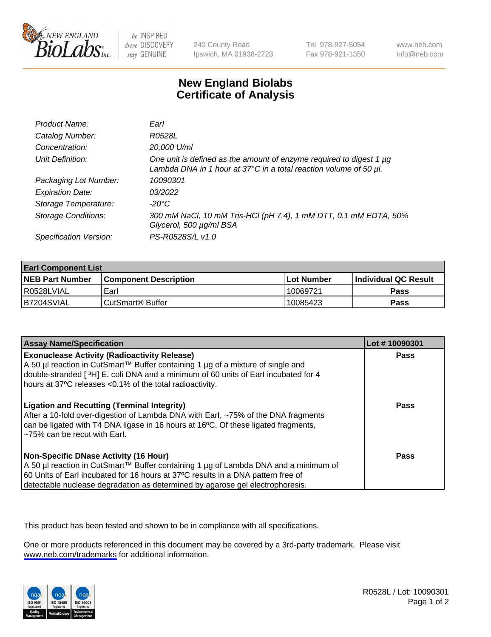

be INSPIRED drive DISCOVERY stay GENUINE

240 County Road Ipswich, MA 01938-2723 Tel 978-927-5054 Fax 978-921-1350

www.neb.com info@neb.com

## **New England Biolabs Certificate of Analysis**

| Product Name:              | Earl                                                                                                                                                    |
|----------------------------|---------------------------------------------------------------------------------------------------------------------------------------------------------|
| Catalog Number:            | R0528L                                                                                                                                                  |
| Concentration:             | 20,000 U/ml                                                                                                                                             |
| Unit Definition:           | One unit is defined as the amount of enzyme required to digest 1 µg<br>Lambda DNA in 1 hour at $37^{\circ}$ C in a total reaction volume of 50 $\mu$ l. |
| Packaging Lot Number:      | 10090301                                                                                                                                                |
| <b>Expiration Date:</b>    | 03/2022                                                                                                                                                 |
| Storage Temperature:       | $-20^{\circ}$ C                                                                                                                                         |
| <b>Storage Conditions:</b> | 300 mM NaCl, 10 mM Tris-HCl (pH 7.4), 1 mM DTT, 0.1 mM EDTA, 50%<br>Glycerol, 500 µg/ml BSA                                                             |
| Specification Version:     | PS-R0528S/L v1.0                                                                                                                                        |

| <b>Earl Component List</b> |                              |                   |                        |  |  |
|----------------------------|------------------------------|-------------------|------------------------|--|--|
| <b>NEB Part Number</b>     | <b>Component Description</b> | <b>Lot Number</b> | l Individual QC Result |  |  |
| R0528LVIAL                 | Earl                         | 10069721          | Pass                   |  |  |
| I B7204SVIAL               | CutSmart <sup>®</sup> Buffer | 10085423          | Pass                   |  |  |

| <b>Assay Name/Specification</b>                                                                                                                                                                                                                                                                                           | Lot #10090301 |
|---------------------------------------------------------------------------------------------------------------------------------------------------------------------------------------------------------------------------------------------------------------------------------------------------------------------------|---------------|
| <b>Exonuclease Activity (Radioactivity Release)</b><br>A 50 µl reaction in CutSmart™ Buffer containing 1 µg of a mixture of single and<br>double-stranded [3H] E. coli DNA and a minimum of 60 units of Earl incubated for 4                                                                                              | Pass          |
| hours at 37°C releases <0.1% of the total radioactivity.<br><b>Ligation and Recutting (Terminal Integrity)</b><br>After a 10-fold over-digestion of Lambda DNA with Earl, ~75% of the DNA fragments<br>can be ligated with T4 DNA ligase in 16 hours at 16°C. Of these ligated fragments,<br>~75% can be recut with Earl. | Pass          |
| Non-Specific DNase Activity (16 Hour)<br>  A 50 µl reaction in CutSmart™ Buffer containing 1 µg of Lambda DNA and a minimum of<br>60 Units of Earl incubated for 16 hours at 37°C results in a DNA pattern free of<br>detectable nuclease degradation as determined by agarose gel electrophoresis.                       | Pass          |

This product has been tested and shown to be in compliance with all specifications.

One or more products referenced in this document may be covered by a 3rd-party trademark. Please visit <www.neb.com/trademarks>for additional information.